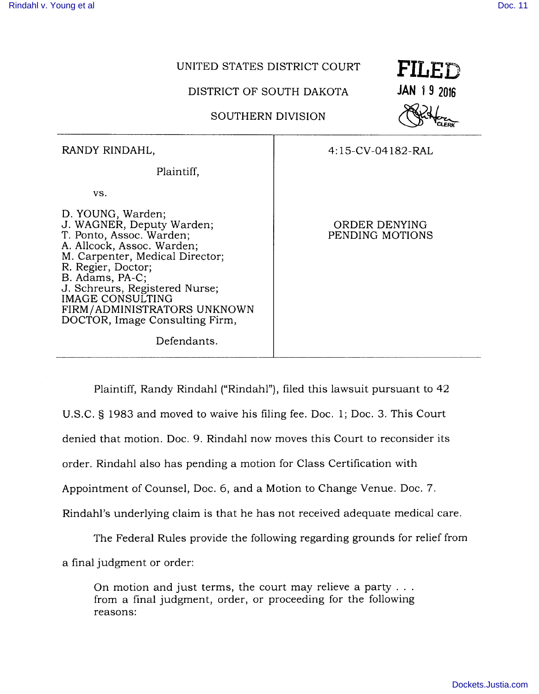## UNITED STATES DISTRICT COURT **FILED**

DISTRICT OF SOUTH DAKOTA **JAN 1 9 2016** 

SOUTHERN DIVISION



| RANDY RINDAHL,                                                                                                                                                                                                                                                                                                             | 4:15-CV-04182-RAL                |
|----------------------------------------------------------------------------------------------------------------------------------------------------------------------------------------------------------------------------------------------------------------------------------------------------------------------------|----------------------------------|
| Plaintiff,                                                                                                                                                                                                                                                                                                                 |                                  |
| VS.                                                                                                                                                                                                                                                                                                                        |                                  |
| D. YOUNG, Warden;<br>J. WAGNER, Deputy Warden;<br>T. Ponto, Assoc. Warden;<br>A. Allcock, Assoc. Warden;<br>M. Carpenter, Medical Director;<br>R. Regier, Doctor;<br>B. Adams, PA-C;<br>J. Schreurs, Registered Nurse;<br>IMAGE CONSULTING<br>FIRM/ADMINISTRATORS UNKNOWN<br>DOCTOR, Image Consulting Firm,<br>Defendants. | ORDER DENYING<br>PENDING MOTIONS |

Plaintiff, Randy Rindahl ("Rindahl"), filed this lawsuit pursuant to 42

U.S. C. § 1983 and moved to waive his filing fee. Doc. 1; Doc. 3. This Court

denied that motion. Doc. 9. Rindahl now moves this Court to reconsider its

order. Rindahl also has pending a motion for Class Certification with

Appointment of Counsel, Doc. 6, and a Motion to Change Venue. Doc. 7.

Rindahl's underlying claim is that he has not received adequate medical care.

The Federal Rules provide the following regarding grounds for relief from

a final judgment or order:

On motion and just terms, the court may relieve a party . from a final judgment, order, or proceeding for the following reasons: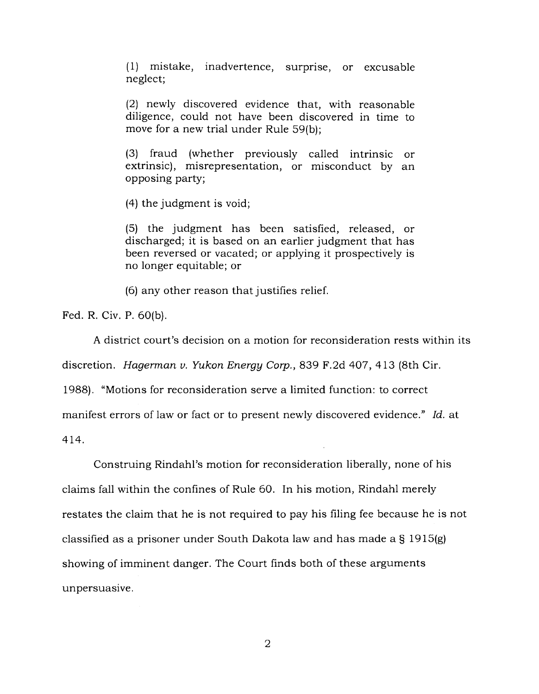(1) mistake, inadvertence, surprise, or excusable neglect;

(2) newly discovered evidence that, with reasonable diligence, could not have been discovered in time to move for a new trial under Rule 59(b);

(3) fraud (whether previously called intrinsic or extrinsic), misrepresentation, or misconduct by an opposing party;

(4) the judgment is void;

(5) the judgment has been satisfied, released, or discharged; it is based on an earlier judgment that has been reversed or vacated; or applying it prospectively is no longer equitable; or

(6) any other reason that justifies relief.

Fed. R. Civ. P. 60(b).

A district court's decision on a motion for reconsideration rests within its

discretion. *Hagerman v. Yukon Energy Corp.,* 839 F.2d 407, 413 (8th Cir.

1988). "Motions for reconsideration serve a limited function: to correct

manifest errors of law or fact or to present newly discovered evidence." *Id.* at

414.

Construing Rindahl's motion for reconsideration liberally, none of his claims fall within the confines of Rule 60. In his motion, Rindahl merely restates the claim that he is not required to pay his filing fee because he is not classified as a prisoner under South Dakota law and has made a § 1915(g) showing of imminent danger. The Court finds both of these arguments unpersuasive.

2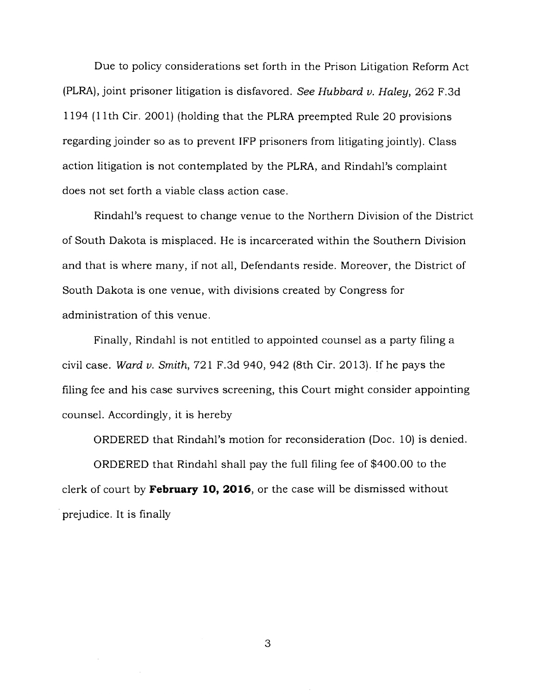Due to policy considerations set forth in the Prison Litigation Reform Act (PLRA), joint prisoner litigation is disfavored. *See Hubbard v. Haley,* 262 F.3d 1194 (11th Cir. 2001) (holding that the PLRA preempted Rule 20 provisions regarding joinder so as to prevent IFP prisoners from litigating jointly). Class action litigation is not contemplated by the PLRA, and Rindahl's complaint does not set forth a viable class action case.

Rindahl's request to change venue to the Northern Division of the District of South Dakota is misplaced. He is incarcerated within the Southern Division and that is where many, if not all, Defendants reside. Moreover, the District of South Dakota is one venue, with divisions created by Congress for administration of this venue.

Finally, Rindahl is not entitled to appointed counsel as a party filing a civil case. *Ward v. Smith,* 721F.3d940, 942 (8th Cir. 2013). Ifhe pays the filing fee and his case survives screening, this Court might consider appointing counsel. Accordingly, it is hereby

ORDERED that Rindahl's motion for reconsideration (Doc. 10) is denied.

ORDERED that Rindahl shall pay the full filing fee of \$400.00 to the clerk of court by **February 10, 2016,** or the case will be dismissed without prejudice. It is finally

3